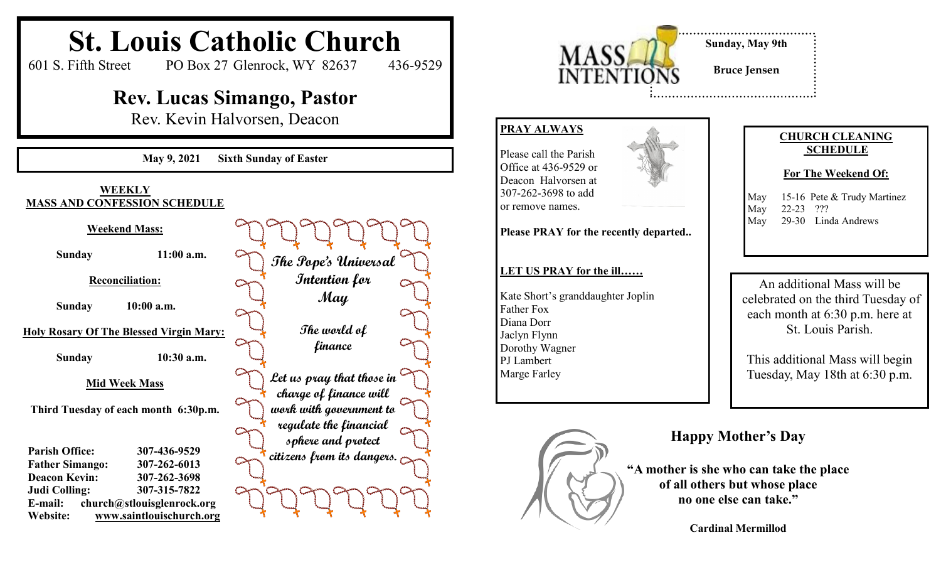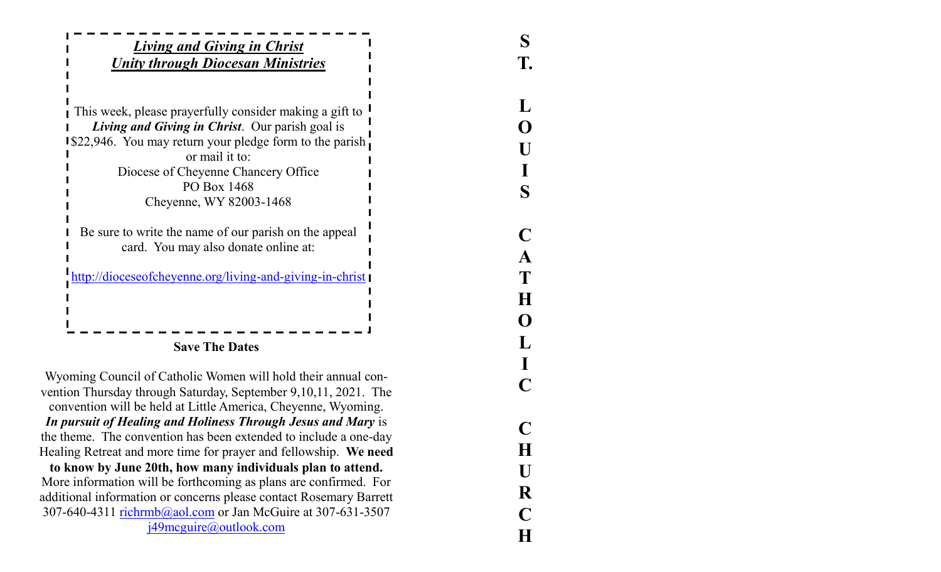| <b>Living and Giving in Christ</b>                                                                                               |  |
|----------------------------------------------------------------------------------------------------------------------------------|--|
| <b>Unity through Diocesan Ministries</b>                                                                                         |  |
| This week, please prayerfully consider making a gift to                                                                          |  |
| Living and Giving in Christ. Our parish goal is                                                                                  |  |
| <b>I</b> \$22,946. You may return your pledge form to the parish<br>or mail it to:                                               |  |
| Diocese of Cheyenne Chancery Office                                                                                              |  |
| PO Box 1468                                                                                                                      |  |
| Cheyenne, WY 82003-1468                                                                                                          |  |
| Be sure to write the name of our parish on the appeal                                                                            |  |
| card. You may also donate online at:                                                                                             |  |
| http://dioceseofcheyenne.org/living-and-giving-in-christ                                                                         |  |
|                                                                                                                                  |  |
|                                                                                                                                  |  |
| <b>Save The Dates</b>                                                                                                            |  |
| Wyoming Council of Catholic Women will hold their annual con-                                                                    |  |
| vention Thursday through Saturday, September 9,10,11, 2021. The<br>convention will be held at Little America, Cheyenne, Wyoming. |  |
| In pursuit of Healing and Holiness Through Jesus and Mary is                                                                     |  |

**LOUISCATHOLICCHURCH**

 $\mathbf C$ 

H

 $\mathbf{U}$ 

R

 $\mathbf C$ 

 $H$ 

307-640-4311 richrmb@aol.com or Jan McGuire at 307-631-3507 j49mcguire@outlook.com

the theme. The convention has been extended to include a one -day Healing Retreat and more time for prayer and fellowship. **We need to know by June 20th, how many individuals plan to attend.** More information will be forthcoming as plans are confirmed. For additional information or concerns please contact Rosemary Barrett